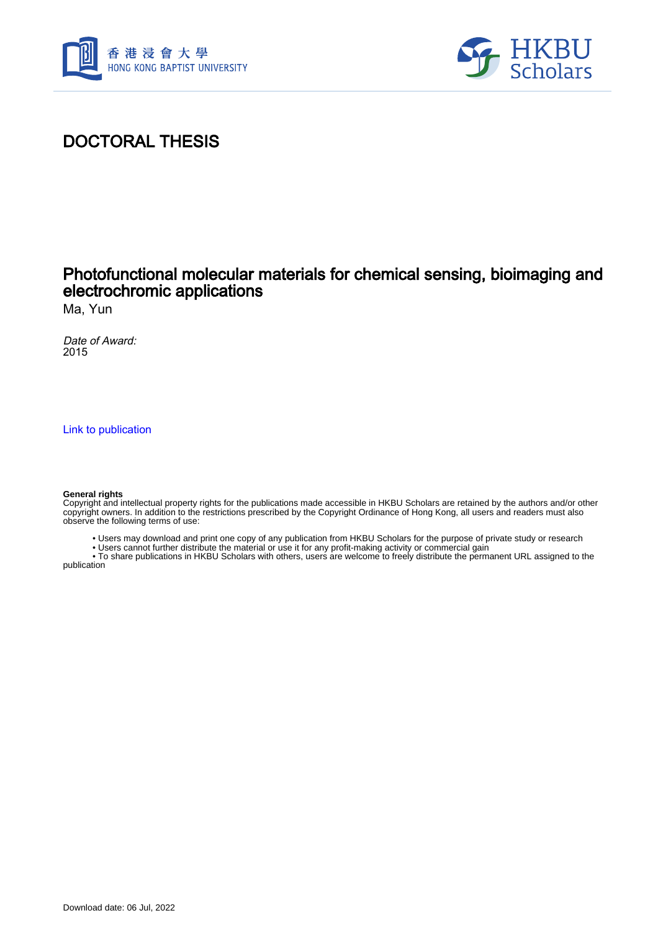



## DOCTORAL THESIS

### Photofunctional molecular materials for chemical sensing, bioimaging and electrochromic applications

Ma, Yun

Date of Award: 2015

[Link to publication](https://scholars.hkbu.edu.hk/en/studentTheses/abe9674e-4df0-4280-9747-e2227d3805dd)

#### **General rights**

Copyright and intellectual property rights for the publications made accessible in HKBU Scholars are retained by the authors and/or other copyright owners. In addition to the restrictions prescribed by the Copyright Ordinance of Hong Kong, all users and readers must also observe the following terms of use:

• Users may download and print one copy of any publication from HKBU Scholars for the purpose of private study or research

• Users cannot further distribute the material or use it for any profit-making activity or commercial gain

 • To share publications in HKBU Scholars with others, users are welcome to freely distribute the permanent URL assigned to the publication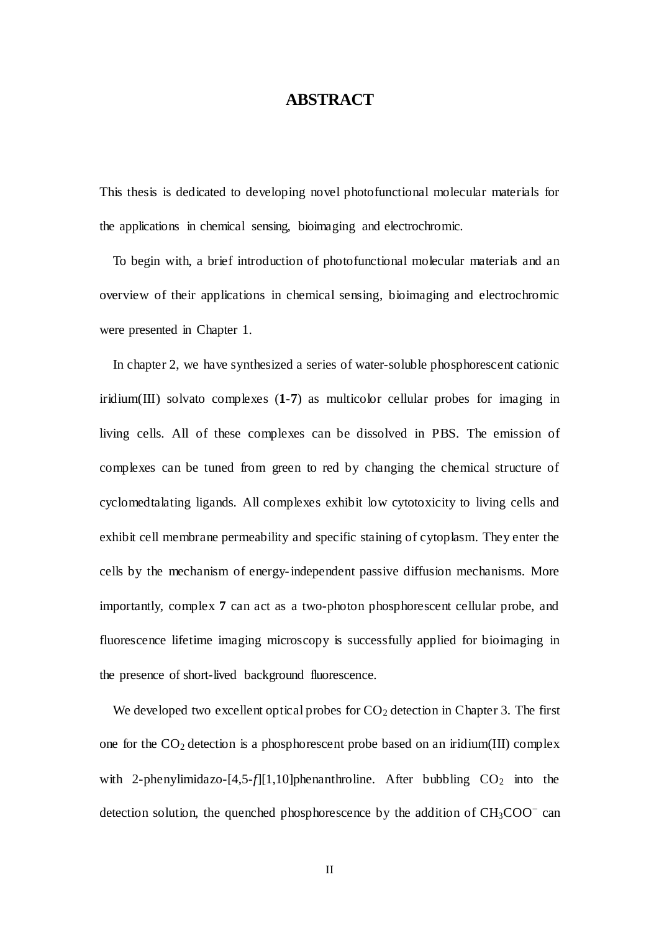### **ABSTRACT**

<span id="page-1-0"></span>This thesis is dedicated to developing novel photofunctional molecular materials for the applications in chemical sensing, bioimaging and electrochromic.

 To begin with, a brief introduction of photofunctional molecular materials and an overview of their applications in chemical sensing, bioimaging and electrochromic were presented in Chapter 1.

In chapter 2, we have synthesized a series of water-soluble phosphorescent cationic iridium(III) solvato complexes (**1**-**7**) as multicolor cellular probes for imaging in living cells. All of these complexes can be dissolved in PBS. The emission of complexes can be tuned from green to red by changing the chemical structure of cyclomedtalating ligands. All complexes exhibit low cytotoxicity to living cells and exhibit cell membrane permeability and specific staining of cytoplasm. They enter the cells by the mechanism of energy-independent passive diffusion mechanisms. More importantly, complex **7** can act as a two-photon phosphorescent cellular probe, and fluorescence lifetime imaging microscopy is successfully applied for bioimaging in the presence of short-lived background fluorescence.

We developed two excellent optical probes for  $CO<sub>2</sub>$  detection in Chapter 3. The first one for the  $CO_2$  detection is a phosphorescent probe based on an iridium(III) complex with 2-phenylimidazo- $[4,5-f][1,10]$ phenanthroline. After bubbling  $CO<sub>2</sub>$  into the detection solution, the quenched phosphorescence by the addition of  $CH<sub>3</sub>COO<sup>-</sup>$  can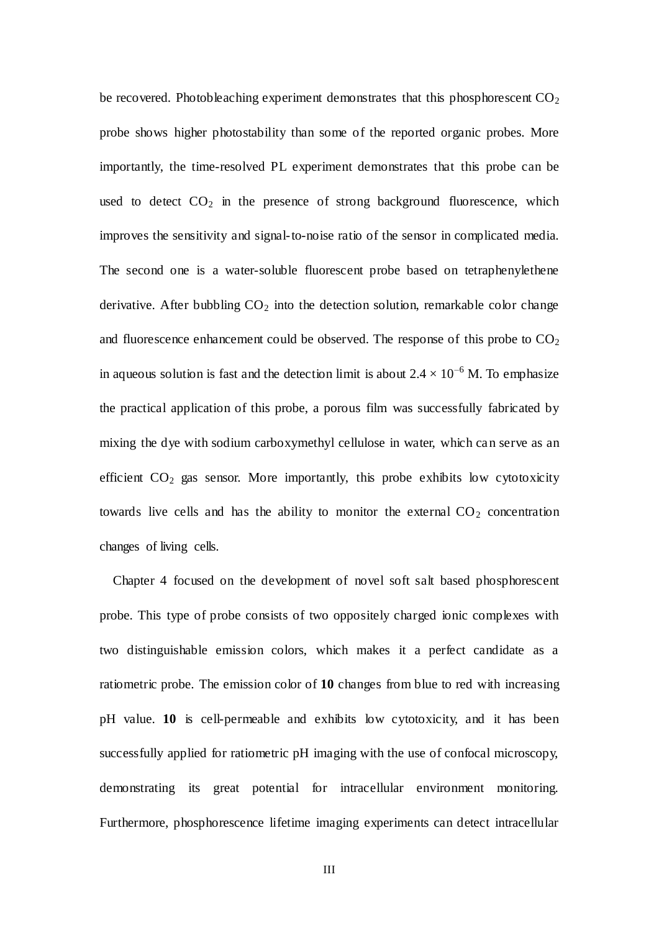be recovered. Photobleaching experiment demonstrates that this phosphorescent  $CO<sub>2</sub>$ probe shows higher photostability than some of the reported organic probes. More importantly, the time-resolved PL experiment demonstrates that this probe can be used to detect  $CO<sub>2</sub>$  in the presence of strong background fluorescence, which improves the sensitivity and signal-to-noise ratio of the sensor in complicated media. The second one is a water-soluble fluorescent probe based on tetraphenylethene derivative. After bubbling  $CO<sub>2</sub>$  into the detection solution, remarkable color change and fluorescence enhancement could be observed. The response of this probe to  $CO<sub>2</sub>$ in aqueous solution is fast and the detection limit is about  $2.4 \times 10^{-6}$  M. To emphasize the practical application of this probe, a porous film was successfully fabricated by mixing the dye with sodium carboxymethyl cellulose in water, which can serve as an efficient  $CO<sub>2</sub>$  gas sensor. More importantly, this probe exhibits low cytotoxicity towards live cells and has the ability to monitor the external  $CO<sub>2</sub>$  concentration changes of living cells.

 Chapter 4 focused on the development of novel soft salt based phosphorescent probe. This type of probe consists of two oppositely charged ionic complexes with two distinguishable emission colors, which makes it a perfect candidate as a ratiometric probe. The emission color of **10** changes from blue to red with increasing pH value. **10** is cell-permeable and exhibits low cytotoxicity, and it has been successfully applied for ratiometric pH imaging with the use of confocal microscopy, demonstrating its great potential for intracellular environment monitoring. Furthermore, phosphorescence lifetime imaging experiments can detect intracellular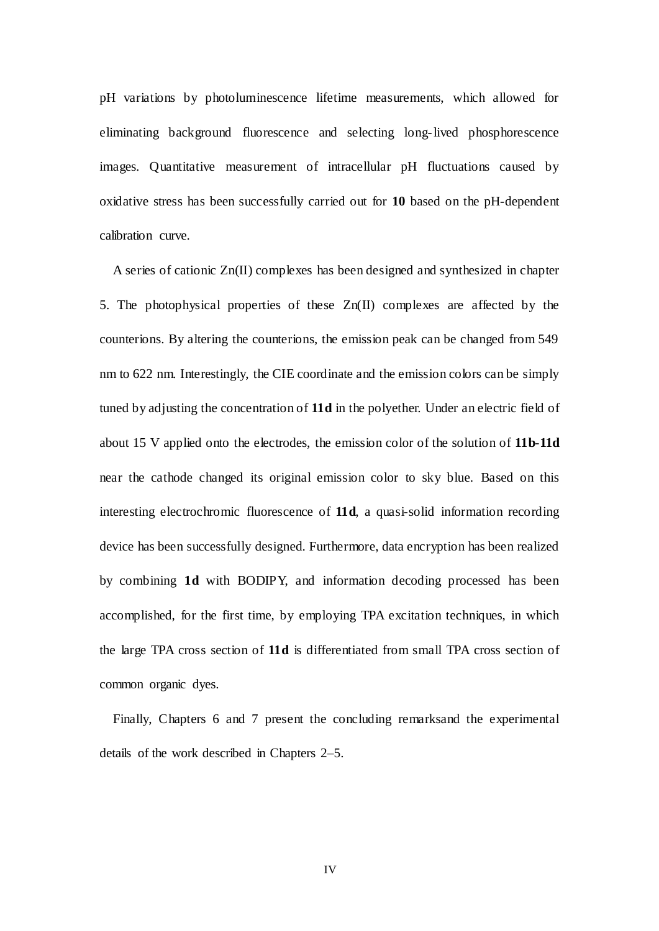pH variations by photoluminescence lifetime measurements, which allowed for eliminating background fluorescence and selecting long-lived phosphorescence images. Quantitative measurement of intracellular pH fluctuations caused by oxidative stress has been successfully carried out for **10** based on the pH-dependent calibration curve.

A series of cationic Zn(II) complexes has been designed and synthesized in chapter 5. The photophysical properties of these Zn(II) complexes are affected by the counterions. By altering the counterions, the emission peak can be changed from 549 nm to 622 nm. Interestingly, the CIE coordinate and the emission colors can be simply tuned by adjusting the concentration of **11d** in the polyether. Under an electric field of about 15 V applied onto the electrodes, the emission color of the solution of **11b**-**11d** near the cathode changed its original emission color to sky blue. Based on this interesting electrochromic fluorescence of **11d**, a quasi-solid information recording device has been successfully designed. Furthermore, data encryption has been realized by combining **1d** with BODIPY, and information decoding processed has been accomplished, for the first time, by employing TPA excitation techniques, in which the large TPA cross section of **11d** is differentiated from small TPA cross section of common organic dyes.

Finally, Chapters 6 and 7 present the concluding remarksand the experimental details of the work described in Chapters 2–5.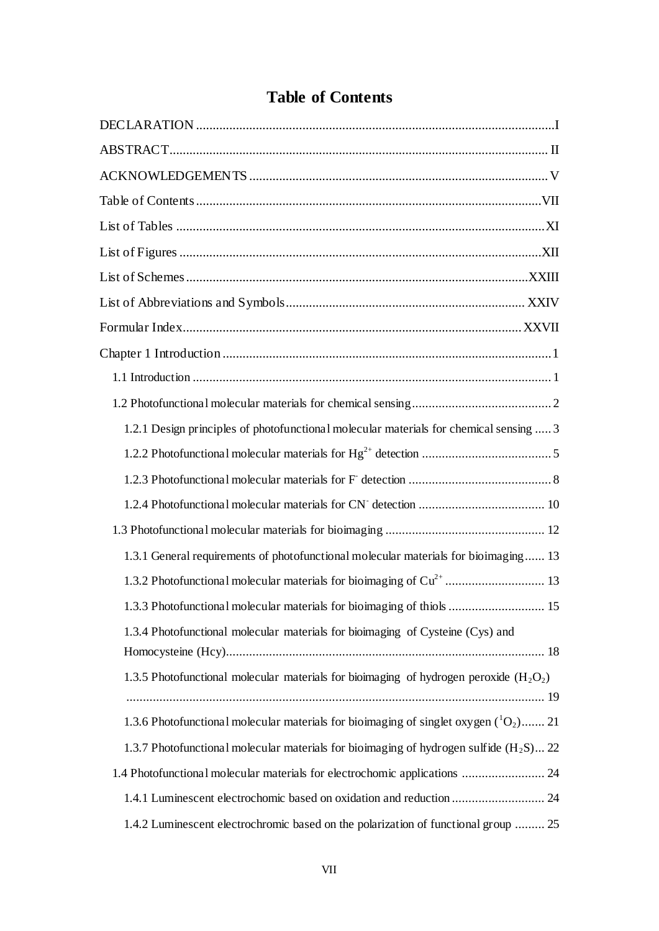# **Table of Contents**

<span id="page-4-0"></span>

| 1.2.1 Design principles of photofunctional molecular materials for chemical sensing  3   |
|------------------------------------------------------------------------------------------|
|                                                                                          |
|                                                                                          |
|                                                                                          |
|                                                                                          |
| 1.3.1 General requirements of photofunctional molecular materials for bioimaging 13      |
|                                                                                          |
| 1.3.3 Photofunctional molecular materials for bioimaging of thiols  15                   |
| 1.3.4 Photofunctional molecular materials for bioimaging of Cysteine (Cys) and           |
|                                                                                          |
| 1.3.5 Photofunctional molecular materials for bioimaging of hydrogen peroxide $(H_2O_2)$ |
|                                                                                          |
| 1.3.6 Photofunctional molecular materials for bioimaging of singlet oxygen $(^1O_2)$ 21  |
| 1.3.7 Photofunctional molecular materials for bioimaging of hydrogen sulfide $(H_2S)$ 22 |
| 1.4 Photofunctional molecular materials for electrochomic applications  24               |
| 1.4.1 Luminescent electrochomic based on oxidation and reduction  24                     |
| 1.4.2 Luminescent electrochromic based on the polarization of functional group  25       |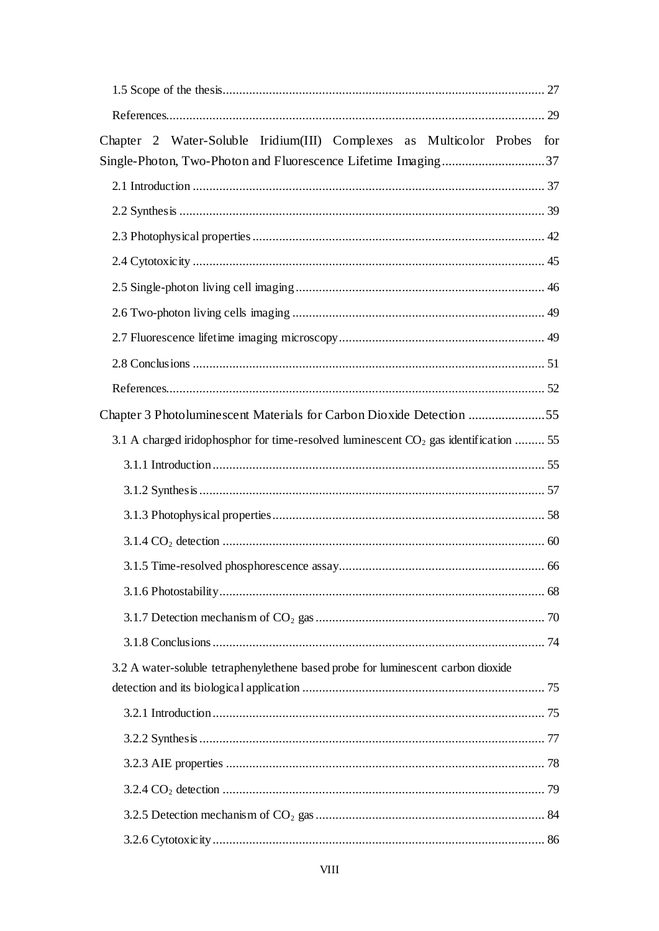| Chapter 2 Water-Soluble Iridium(III) Complexes as Multicolor Probes<br>for              |
|-----------------------------------------------------------------------------------------|
| Single-Photon, Two-Photon and Fluorescence Lifetime Imaging37                           |
|                                                                                         |
|                                                                                         |
|                                                                                         |
|                                                                                         |
|                                                                                         |
|                                                                                         |
|                                                                                         |
|                                                                                         |
|                                                                                         |
| Chapter 3 Photoluminescent Materials for Carbon Dioxide Detection 55                    |
| 3.1 A charged iridophosphor for time-resolved luminescent $CO_2$ gas identification  55 |
|                                                                                         |
|                                                                                         |
|                                                                                         |
|                                                                                         |
|                                                                                         |
|                                                                                         |
|                                                                                         |
|                                                                                         |
| 3.2 A water-soluble tetraphenylethene based probe for luminescent carbon dioxide        |
|                                                                                         |
|                                                                                         |
|                                                                                         |
|                                                                                         |
|                                                                                         |
|                                                                                         |
|                                                                                         |